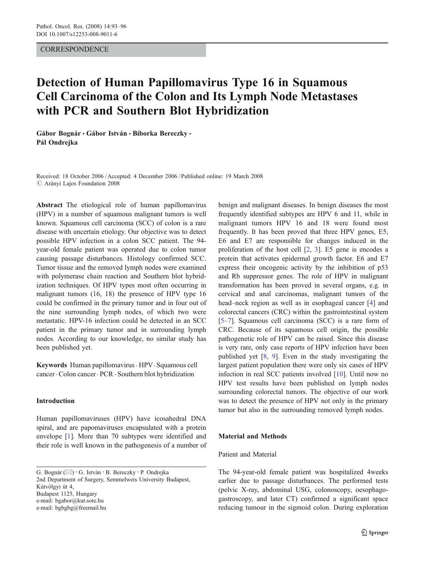## **CORRESPONDENCE**

# Detection of Human Papillomavirus Type 16 in Squamous Cell Carcinoma of the Colon and Its Lymph Node Metastases with PCR and Southern Blot Hybridization

Gábor Bognár • Gábor István • Bíborka Bereczky • Pál Ondrejka

Received: 18 October 2006 /Accepted: 4 December 2006 / Published online: 19 March 2008  $\oslash$  Arányi Lajos Foundation 2008

Abstract The etiological role of human papillomavirus (HPV) in a number of squamous malignant tumors is well known. Squamous cell carcinoma (SCC) of colon is a rare disease with uncertain etiology. Our objective was to detect possible HPV infection in a colon SCC patient. The 94 year-old female patient was operated due to colon tumor causing passage disturbances. Histology confirmed SCC. Tumor tissue and the removed lymph nodes were examined with polymerase chain reaction and Southern blot hybridization techniques. Of HPV types most often occurring in malignant tumors (16, 18) the presence of HPV type 16 could be confirmed in the primary tumor and in four out of the nine surrounding lymph nodes, of which two were metastatic. HPV-16 infection could be detected in an SCC patient in the primary tumor and in surrounding lymph nodes. According to our knowledge, no similar study has been published yet.

Keywords Human papillomavirus. HPV. Squamous cell cancer. Colon cancer. PCR . Southern blot hybridization

### Introduction

Human papillomaviruses (HPV) have icosahedral DNA spiral, and are papomaviruses encapsulated with a protein envelope [\[1](#page-3-0)]. More than 70 subtypes were identified and their role is well known in the pathogenesis of a number of

G. Bognár (*\**) : G. István : B. Bereczky : P. Ondrejka 2nd Department of Surgery, Semmelweis University Budapest, Kútvölgyi út 4, Budapest 1125, Hungary e-mail: bgabor@kut.sote.hu e-mail: bgbgbg@freemail.hu

benign and malignant diseases. In benign diseases the most frequently identified subtypes are HPV 6 and 11, while in malignant tumors HPV 16 and 18 were found most frequently. It has been proved that three HPV genes, E5, E6 and E7 are responsible for changes induced in the proliferation of the host cell [[2](#page-3-0), [3\]](#page-3-0). E5 gene is encodes a protein that activates epidermal growth factor. E6 and E7 express their oncogenic activity by the inhibition of p53 and Rb suppressor genes. The role of HPV in malignant transformation has been proved in several organs, e.g. in cervical and anal carcinomas, malignant tumors of the head–neck region as well as in esophageal cancer [[4\]](#page-3-0) and colorectal cancers (CRC) within the gastrointestinal system [\[5](#page-3-0)–[7](#page-3-0)]. Squamous cell carcinoma (SCC) is a rare form of CRC. Because of its squamous cell origin, the possible pathogenetic role of HPV can be raised. Since this disease is very rare, only case reports of HPV infection have been published yet [\[8](#page-3-0), [9](#page-3-0)]. Even in the study investigating the largest patient population there were only six cases of HPV infection in real SCC patients involved [\[10](#page-3-0)]. Until now no HPV test results have been published on lymph nodes surrounding colorectal tumors. The objective of our work was to detect the presence of HPV not only in the primary tumor but also in the surrounding removed lymph nodes.

#### Material and Methods

#### Patient and Material

The 94-year-old female patient was hospitalized 4weeks earlier due to passage disturbances. The performed tests (pelvic X-ray, abdominal USG, colonoscopy, oesophagogastroscopy, and later CT) confirmed a significant space reducing tumour in the sigmoid colon. During exploration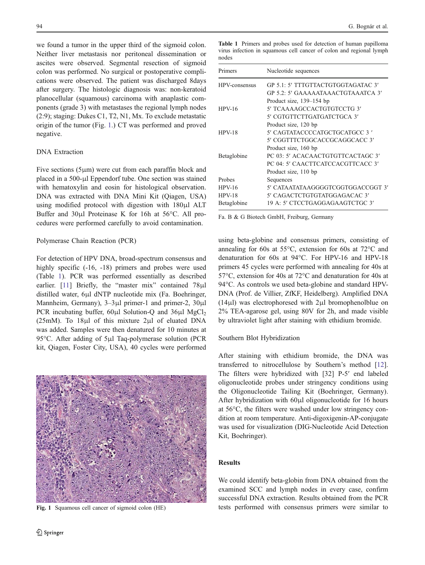we found a tumor in the upper third of the sigmoid colon. Neither liver metastasis nor peritoneal dissemination or ascites were observed. Segmental resection of sigmoid colon was performed. No surgical or postoperative complications were observed. The patient was discharged 8days after surgery. The histologic diagnosis was: non-keratoid planocellular (squamous) carcinoma with anaplastic components (grade 3) with metastases the regional lymph nodes (2:9); staging: Dukes C1, T2, N1, Mx. To exclude metastatic origin of the tumor (Fig. 1.) CT was performed and proved negative.

## DNA Extraction

Five sections (5μm) were cut from each paraffin block and placed in a 500-μl Eppendorf tube. One section was stained with hematoxylin and eosin for histological observation. DNA was extracted with DNA Mini Kit (Qiagen, USA) using modified protocol with digestion with 180μl ALT Buffer and 30μl Proteinase K for 16h at 56°C. All procedures were performed carefully to avoid contamination.

#### Polymerase Chain Reaction (PCR)

For detection of HPV DNA, broad-spectrum consensus and highly specific  $(-16, -18)$  primers and probes were used (Table 1). PCR was performed essentially as described earlier. [[11\]](#page-3-0) Briefly, the "master mix" contained 78μl distilled water, 6μl dNTP nucleotide mix (Fa. Boehringer, Mannheim, Germany), 3–3μl primer-1 and primer-2, 30μl PCR incubating buffer,  $60\mu$ l Solution-Q and  $36\mu$ l MgCl<sub>2</sub> (25mM). To 18μl of this mixture 2μl of eluated DNA was added. Samples were then denatured for 10 minutes at 95°C. After adding of 5μl Taq-polymerase solution (PCR kit, Qiagen, Foster City, USA), 40 cycles were performed



Table 1 Primers and probes used for detection of human papilloma virus infection in squamous cell cancer of colon and regional lymph nodes

| Primers       | Nucleotide sequences                  |
|---------------|---------------------------------------|
| HPV-consensus | GP 5.1: 5' TTTGTTACTGTGGTAGATAC 3'    |
|               | GP 5.2: 5' GAAAAATAAACTGTAAATCA 3'    |
|               | Product size, 139–154 bp              |
| $HPV-16$      | 5' TCAAAAGCCACTGTGTCCTG 3'            |
|               | 5' CGTGTTCTTGATGATCTGCA 3'            |
|               | Product size, 120 bp                  |
| $HPV-18$      | 5' CAGTATACCCCATGCTGCATGCC 3 '        |
|               | 5' CGGTTTCTGGCACCGCAGGCACC 3'         |
|               | Product size, 160 bp                  |
| Betaglobine   | PC 03: 5' ACACAACTGTGTTCACTAGC 3'     |
|               | PC 04: 5' CAACTTCATCCACGTTCACC 3'     |
|               | Product size, 110 bp                  |
| Probes        | Sequences                             |
| $HPV-16$      | 5' CATA ATATA A GGGGTCGGTGGA CCGGT-3' |
| $HPV-18$      | 5' CAGACTCTGTGTATGGAGACAC 3'          |
| Betaglobine   | 19 A: 5' CTCCTGAGGAGAAGTCTGC 3'       |

Fa. B & G Biotech GmbH, Freiburg, Germany

using beta-globine and consensus primers, consisting of annealing for 60s at 55°C, extension for 60s at 72°C and denaturation for 60s at 94°C. For HPV-16 and HPV-18 primers 45 cycles were performed with annealing for 40s at 57°C, extension for 40s at 72°C and denaturation for 40s at 94°C. As controls we used beta-globine and standard HPV-DNA (Prof. de Villier, ZfKF, Heidelberg). Amplified DNA (14μl) was electrophoresed with 2μl bromophenolblue on 2% TEA-agarose gel, using 80V for 2h, and made visible by ultraviolet light after staining with ethidium bromide.

## Southern Blot Hybridization

After staining with ethidium bromide, the DNA was transferred to nitrocellulose by Southern's method [[12\]](#page-3-0). The filters were hybridized with [32] P-5′ end labeled oligonucleotide probes under stringency conditions using the Oligonucleotide Tailing Kit (Boehringer, Germany). After hybridization with 60μl oligonucleotide for 16 hours at 56°C, the filters were washed under low stringency condition at room temperature. Anti-digoxigenin-AP-conjugate was used for visualization (DIG-Nucleotide Acid Detection Kit, Boehringer).

## Results

We could identify beta-globin from DNA obtained from the examined SCC and lymph nodes in every case, confirm successful DNA extraction. Results obtained from the PCR Fig. 1 Squamous cell cancer of sigmoid colon (HE) tests performed with consensus primers were similar to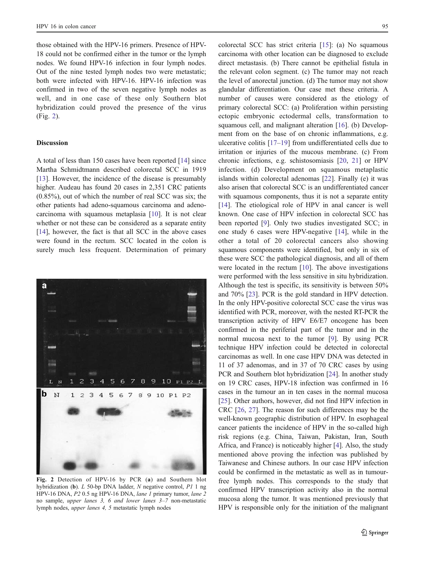those obtained with the HPV-16 primers. Presence of HPV-18 could not be confirmed either in the tumor or the lymph nodes. We found HPV-16 infection in four lymph nodes. Out of the nine tested lymph nodes two were metastatic; both were infected with HPV-16. HPV-16 infection was confirmed in two of the seven negative lymph nodes as well, and in one case of these only Southern blot hybridization could proved the presence of the virus (Fig. 2).

#### Discussion

A total of less than 150 cases have been reported [[14\]](#page-3-0) since Martha Schmidtmann described colorectal SCC in 1919 [\[13](#page-3-0)]. However, the incidence of the disease is presumably higher. Audeau has found 20 cases in 2,351 CRC patients (0.85%), out of which the number of real SCC was six; the other patients had adeno-squamous carcinoma and adenocarcinoma with squamous metaplasia [[10\]](#page-3-0). It is not clear whether or not these can be considered as a separate entity [\[14](#page-3-0)], however, the fact is that all SCC in the above cases were found in the rectum. SCC located in the colon is surely much less frequent. Determination of primary



Fig. 2 Detection of HPV-16 by PCR (a) and Southern blot hybridization (b). L 50-bp DNA ladder, N negative control, P1 1 ng HPV-16 DNA, P2 0.5 ng HPV-16 DNA, lane 1 primary tumor, lane 2 no sample, upper lanes 3, 6 and lower lanes 3*–*7 non-metastatic lymph nodes, upper lanes 4, 5 metastatic lymph nodes

colorectal SCC has strict criteria [\[15](#page-3-0)]: (a) No squamous carcinoma with other location can be diagnosed to exclude direct metastasis. (b) There cannot be epithelial fistula in the relevant colon segment. (c) The tumor may not reach the level of anorectal junction. (d) The tumor may not show glandular differentiation. Our case met these criteria. A number of causes were considered as the etiology of primary colorectal SCC: (a) Proliferation within persisting ectopic embryonic ectodermal cells, transformation to squamous cell, and malignant alteration [[16\]](#page-3-0). (b) Development from on the base of on chronic inflammations, e.g. ulcerative colitis [\[17](#page-3-0)–[19](#page-3-0)] from undifferentiated cells due to irritation or injuries of the mucous membrane. (c) From chronic infections, e.g. schistosomiasis [[20,](#page-3-0) [21](#page-3-0)] or HPV infection. (d) Development on squamous metaplastic islands within colorectal adenomas [[22\]](#page-3-0). Finally (e) it was also arisen that colorectal SCC is an undifferentiated cancer with squamous components, thus it is not a separate entity [\[14](#page-3-0)]. The etiological role of HPV in anal cancer is well known. One case of HPV infection in colorectal SCC has been reported [\[9](#page-3-0)]. Only two studies investigated SCC; in one study 6 cases were HPV-negative [\[14](#page-3-0)], while in the other a total of 20 colorectal cancers also showing squamous components were identified, but only in six of these were SCC the pathological diagnosis, and all of them were located in the rectum [\[10](#page-3-0)]. The above investigations were performed with the less sensitive in situ hybridization. Although the test is specific, its sensitivity is between 50% and 70% [\[23](#page-3-0)]. PCR is the gold standard in HPV detection. In the only HPV-positive colorectal SCC case the virus was identified with PCR, moreover, with the nested RT-PCR the transcription activity of HPV E6/E7 oncogene has been confirmed in the periferial part of the tumor and in the normal mucosa next to the tumor [[9\]](#page-3-0). By using PCR technique HPV infection could be detected in colorectal carcinomas as well. In one case HPV DNA was detected in 11 of 37 adenomas, and in 37 of 70 CRC cases by using PCR and Southern blot hybridization [[24\]](#page-3-0). In another study on 19 CRC cases, HPV-18 infection was confirmed in 16 cases in the tumour an in ten cases in the normal mucosa [\[25](#page-3-0)]. Other authors, however, did not find HPV infection in CRC [[26,](#page-3-0) [27\]](#page-3-0). The reason for such differences may be the well-known geographic distribution of HPV. In esophageal cancer patients the incidence of HPV in the so-called high risk regions (e.g. China, Taiwan, Pakistan, Iran, South Africa, and France) is noticeably higher [[4\]](#page-3-0). Also, the study mentioned above proving the infection was published by Taiwanese and Chinese authors. In our case HPV infection could be confirmed in the metastatic as well as in tumourfree lymph nodes. This corresponds to the study that confirmed HPV transcription activity also in the normal mucosa along the tumor. It was mentioned previously that HPV is responsible only for the initiation of the malignant